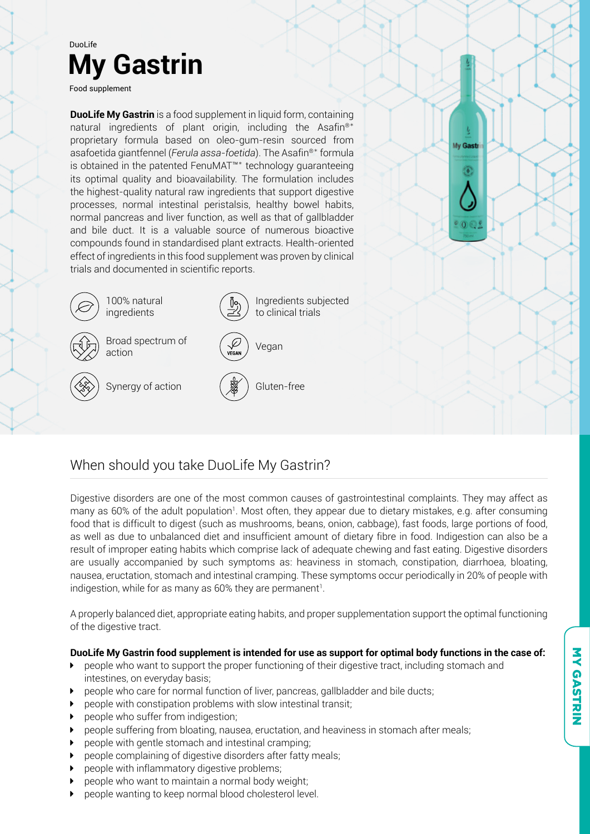

# When should you take DuoLife My Gastrin?

Digestive disorders are one of the most common causes of gastrointestinal complaints. They may affect as many as 60% of the adult population<sup>1</sup>. Most often, they appear due to dietary mistakes, e.g. after consuming food that is difficult to digest (such as mushrooms, beans, onion, cabbage), fast foods, large portions of food, as well as due to unbalanced diet and insufficient amount of dietary fibre in food. Indigestion can also be a result of improper eating habits which comprise lack of adequate chewing and fast eating. Digestive disorders are usually accompanied by such symptoms as: heaviness in stomach, constipation, diarrhoea, bloating, nausea, eructation, stomach and intestinal cramping. These symptoms occur periodically in 20% of people with indigestion, while for as many as 60% they are permanent<sup>1</sup>.

A properly balanced diet, appropriate eating habits, and proper supplementation support the optimal functioning of the digestive tract.

#### **DuoLife My Gastrin food supplement is intended for use as support for optimal body functions in the case of:**

- people who want to support the proper functioning of their digestive tract, including stomach and intestines, on everyday basis;
- people who care for normal function of liver, pancreas, gallbladder and bile ducts;
- people with constipation problems with slow intestinal transit;
- $\blacktriangleright$  people who suffer from indigestion;
- $\blacktriangleright$  people suffering from bloating, nausea, eructation, and heaviness in stomach after meals;
- people with gentle stomach and intestinal cramping;
- people complaining of digestive disorders after fatty meals;
- people with inflammatory digestive problems;
- people who want to maintain a normal body weight;
- people wanting to keep normal blood cholesterol level.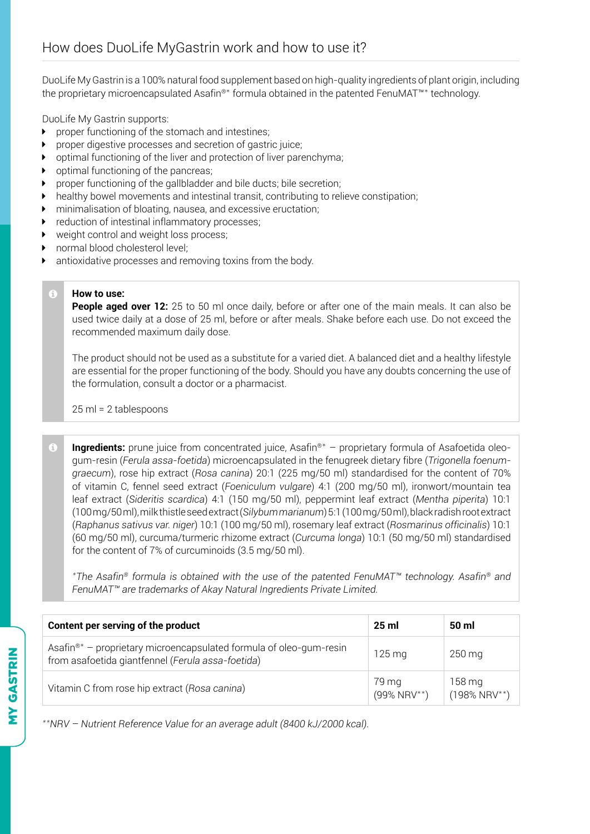DuoLife My Gastrin is a 100% natural food supplement based on high-quality ingredients of plant origin, including the proprietary microencapsulated Asafin®\* formula obtained in the patented FenuMAT™\* technology.

DuoLife My Gastrin supports:

- $\blacktriangleright$  proper functioning of the stomach and intestines;
- $\triangleright$  proper digestive processes and secretion of gastric juice;
- $\rightarrow$  optimal functioning of the liver and protection of liver parenchyma;
- $\rightarrow$  optimal functioning of the pancreas;
- $\triangleright$  proper functioning of the gallbladder and bile ducts; bile secretion;
- $\blacktriangleright$  healthy bowel movements and intestinal transit, contributing to relieve constipation;
- $\triangleright$  minimalisation of bloating, nausea, and excessive eructation;
- $\blacktriangleright$  reduction of intestinal inflammatory processes;
- $\triangleright$  weight control and weight loss process;
- normal blood cholesterol level;
- antioxidative processes and removing toxins from the body.

#### **How to use:**

Ġ

**People aged over 12:** 25 to 50 ml once daily, before or after one of the main meals. It can also be used twice daily at a dose of 25 ml, before or after meals. Shake before each use. Do not exceed the recommended maximum daily dose.

The product should not be used as a substitute for a varied diet. A balanced diet and a healthy lifestyle are essential for the proper functioning of the body. Should you have any doubts concerning the use of the formulation, consult a doctor or a pharmacist.

25 ml = 2 tablespoons

 $\bigodot$ **Ingredients:** prune juice from concentrated juice, Asafin®\* – proprietary formula of Asafoetida oleogum-resin (*Ferula assa-foetida*) microencapsulated in the fenugreek dietary fibre (*Trigonella foenumgraecum*), rose hip extract (*Rosa canina*) 20:1 (225 mg/50 ml) standardised for the content of 70% of vitamin C, fennel seed extract (*Foeniculum vulgare*) 4:1 (200 mg/50 ml), ironwort/mountain tea leaf extract (*Sideritis scardica*) 4:1 (150 mg/50 ml), peppermint leaf extract (*Mentha piperita*) 10:1 (100 mg/50 ml), milk thistle seed extract (*Silybum marianum*) 5:1 (100 mg/50 ml), black radish root extract (*Raphanus sativus var. niger*) 10:1 (100 mg/50 ml), rosemary leaf extract (*Rosmarinus officinalis*) 10:1 (60 mg/50 ml), curcuma/turmeric rhizome extract (*Curcuma longa*) 10:1 (50 mg/50 ml) standardised for the content of 7% of curcuminoids (3.5 mg/50 ml).

*\*The Asafin® formula is obtained with the use of the patented FenuMAT™ technology. Asafin® and FenuMAT™ are trademarks of Akay Natural Ingredients Private Limited.*

| Content per serving of the product                                                                                                  | 25 <sub>m</sub>         | 50 ml                     |
|-------------------------------------------------------------------------------------------------------------------------------------|-------------------------|---------------------------|
| Asafin <sup>®*</sup> – proprietary microencapsulated formula of oleo-gum-resin<br>from asafoetida giantfennel (Ferula assa-foetida) | $125 \,\mathrm{mg}$     | $250 \,\mathrm{mg}$       |
| Vitamin C from rose hip extract (Rosa canina)                                                                                       | 79 mg<br>$(99\% NRV**)$ | 158 mg<br>$(198\% NRV**)$ |

*\*\*NRV – Nutrient Reference Value for an average adult (8400 kJ/2000 kcal).*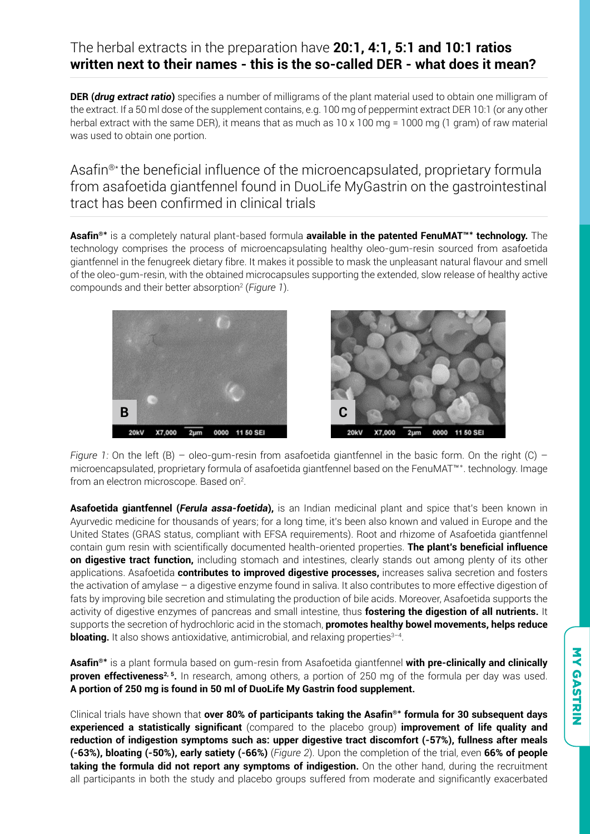### The herbal extracts in the preparation have **20:1, 4:1, 5:1 and 10:1 ratios written next to their names - this is the so-called DER - what does it mean?**

**DER (***drug extract ratio***)** specifies a number of milligrams of the plant material used to obtain one milligram of the extract. If a 50 ml dose of the supplement contains, e.g. 100 mg of peppermint extract DER 10:1 (or any other herbal extract with the same DER), it means that as much as 10 x 100 mg = 1000 mg (1 gram) of raw material was used to obtain one portion.

Asafin®\* the beneficial influence of the microencapsulated, proprietary formula from asafoetida giantfennel found in DuoLife MyGastrin on the gastrointestinal tract has been confirmed in clinical trials

**Asafin®\*** is a completely natural plant-based formula **available in the patented FenuMAT™\* technology.** The technology comprises the process of microencapsulating healthy oleo-gum-resin sourced from asafoetida giantfennel in the fenugreek dietary fibre. It makes it possible to mask the unpleasant natural flavour and smell of the oleo-gum-resin, with the obtained microcapsules supporting the extended, slow release of healthy active compounds and their better absorption2 (*Figure 1*).





*Figure 1:* On the left (B) – oleo-gum-resin from asafoetida giantfennel in the basic form. On the right (C) – microencapsulated, proprietary formula of asafoetida giantfennel based on the FenuMAT™\*. technology. Image from an electron microscope. Based on<sup>2</sup>.

**Asafoetida giantfennel (***Ferula assa-foetida***),** is an Indian medicinal plant and spice that's been known in Ayurvedic medicine for thousands of years; for a long time, it's been also known and valued in Europe and the United States (GRAS status, compliant with EFSA requirements). Root and rhizome of Asafoetida giantfennel contain gum resin with scientifically documented health-oriented properties. **The plant's beneficial influence on digestive tract function,** including stomach and intestines, clearly stands out among plenty of its other applications. Asafoetida **contributes to improved digestive processes,** increases saliva secretion and fosters the activation of amylase – a digestive enzyme found in saliva. It also contributes to more effective digestion of fats by improving bile secretion and stimulating the production of bile acids. Moreover, Asafoetida supports the activity of digestive enzymes of pancreas and small intestine, thus **fostering the digestion of all nutrients.** It supports the secretion of hydrochloric acid in the stomach, **promotes healthy bowel movements, helps reduce bloating.** It also shows antioxidative, antimicrobial, and relaxing properties<sup>3-4</sup>.

**Asafin®\*** is a plant formula based on gum-resin from Asafoetida giantfennel **with pre-clinically and clinically proven effectiveness<sup>2, 5</sup>.** In research, among others, a portion of 250 mg of the formula per day was used. **A portion of 250 mg is found in 50 ml of DuoLife My Gastrin food supplement.**

Clinical trials have shown that **over 80% of participants taking the Asafin®\* formula for 30 subsequent days experienced a statistically significant** (compared to the placebo group) **improvement of life quality and reduction of indigestion symptoms such as: upper digestive tract discomfort (-57%), fullness after meals (-63%), bloating (-50%), early satiety (-66%)** (*Figure 2*). Upon the completion of the trial, even **66% of people taking the formula did not report any symptoms of indigestion.** On the other hand, during the recruitment all participants in both the study and placebo groups suffered from moderate and significantly exacerbated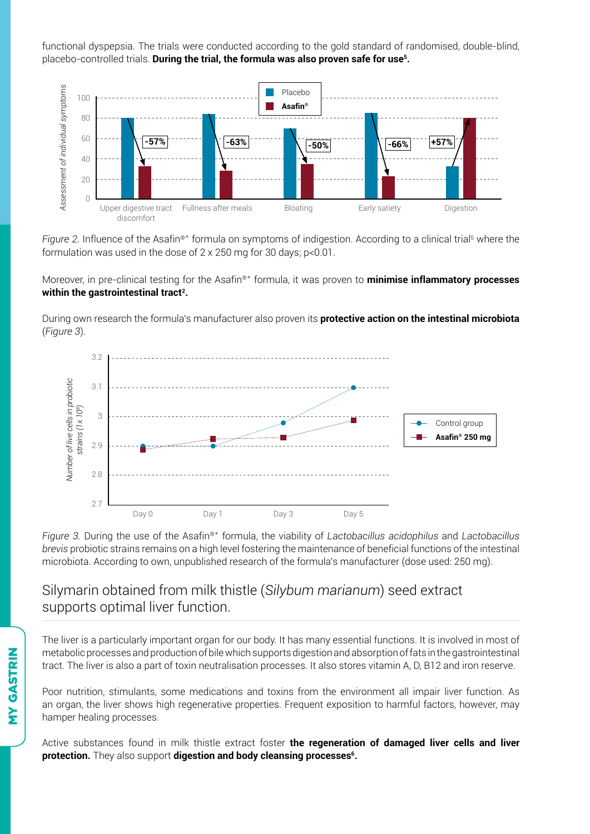functional dyspepsia. The trials were conducted according to the gold standard of randomised, double-blind, placebo-controlled trials. **During the trial, the formula was also proven safe for use5.**



Figure 2. Influence of the Asafin®\* formula on symptoms of indigestion. According to a clinical trial<sup>5</sup> where the formulation was used in the dose of 2 x 250 mg for 30 days; p<0.01.

Moreover, in pre-clinical testing for the Asafin®\* formula, it was proven to **minimise inflammatory processes within the gastrointestinal tract2.**

During own research the formula's manufacturer also proven its **protective action on the intestinal microbiota**  (*Figure 3*).



*Figure 3.* During the use of the Asafin®\* formula, the viability of *Lactobacillus acidophilus* and *Lactobacillus brevis* probiotic strains remains on a high level fostering the maintenance of beneficial functions of the intestinal microbiota. According to own, unpublished research of the formula's manufacturer (dose used: 250 mg).

### Silymarin obtained from milk thistle (*Silybum marianum*) seed extract supports optimal liver function.

The liver is a particularly important organ for our body. It has many essential functions. It is involved in most of metabolic processes and production of bile which supports digestion and absorption of fats in the gastrointestinal tract. The liver is also a part of toxin neutralisation processes. It also stores vitamin A, D, B12 and iron reserve.

Poor nutrition, stimulants, some medications and toxins from the environment all impair liver function. As an organ, the liver shows high regenerative properties. Frequent exposition to harmful factors, however, may hamper healing processes.

Active substances found in milk thistle extract foster **the regeneration of damaged liver cells and liver protection.** They also support digestion and body cleansing processes<sup>6</sup>.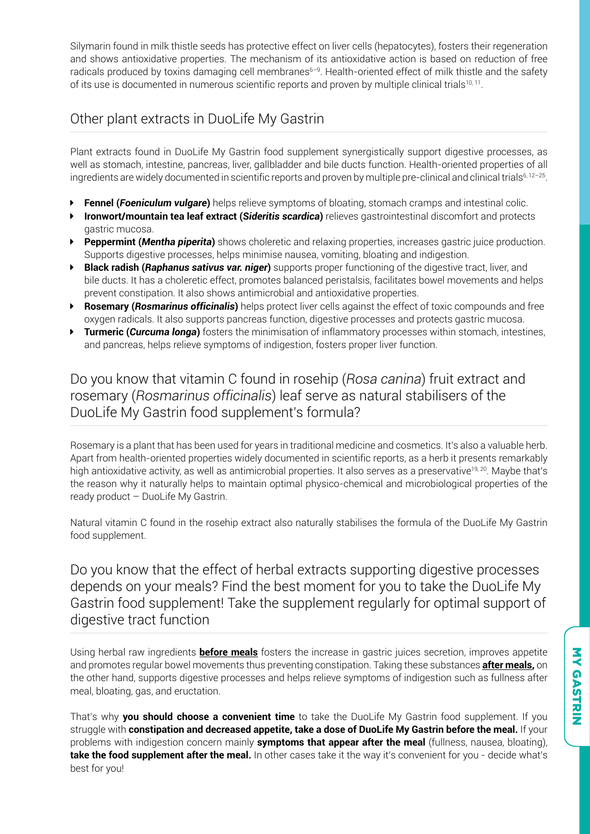Silymarin found in milk thistle seeds has protective effect on liver cells (hepatocytes), fosters their regeneration and shows antioxidative properties. The mechanism of its antioxidative action is based on reduction of free radicals produced by toxins damaging cell membranes<sup>6-9</sup>. Health-oriented effect of milk thistle and the safety of its use is documented in numerous scientific reports and proven by multiple clinical trials<sup>10, 11</sup>.

# Other plant extracts in DuoLife My Gastrin

Plant extracts found in DuoLife My Gastrin food supplement synergistically support digestive processes, as well as stomach, intestine, pancreas, liver, gallbladder and bile ducts function. Health-oriented properties of all ingredients are widely documented in scientific reports and proven by multiple pre-clinical and clinical trials<sup>6, 12-25</sup>.

- **Fennel (***Foeniculum vulgare*) helps relieve symptoms of bloating, stomach cramps and intestinal colic.
- **Ironwort/mountain tea leaf extract (Sideritis scardica)** relieves gastrointestinal discomfort and protects gastric mucosa.
- **Peppermint (***Mentha piperita*) shows choleretic and relaxing properties, increases gastric juice production. Supports digestive processes, helps minimise nausea, vomiting, bloating and indigestion.
- **Black radish (***Raphanus sativus var. niger*) supports proper functioning of the digestive tract, liver, and bile ducts. It has a choleretic effect, promotes balanced peristalsis, facilitates bowel movements and helps prevent constipation. It also shows antimicrobial and antioxidative properties.
- **Exercise Prosemary (***Rosmarinus officinalis*) helps protect liver cells against the effect of toxic compounds and free oxygen radicals. It also supports pancreas function, digestive processes and protects gastric mucosa.
- **Figurer 1 Turmeric (***Curcuma longa*) fosters the minimisation of inflammatory processes within stomach, intestines, and pancreas, helps relieve symptoms of indigestion, fosters proper liver function.

# Do you know that vitamin C found in rosehip (*Rosa canina*) fruit extract and rosemary (*Rosmarinus officinalis*) leaf serve as natural stabilisers of the DuoLife My Gastrin food supplement's formula?

Rosemary is a plant that has been used for years in traditional medicine and cosmetics. It's also a valuable herb. Apart from health-oriented properties widely documented in scientific reports, as a herb it presents remarkably high antioxidative activity, as well as antimicrobial properties. It also serves as a preservative<sup>19, 20</sup>. Maybe that's the reason why it naturally helps to maintain optimal physico-chemical and microbiological properties of the ready product – DuoLife My Gastrin.

Natural vitamin C found in the rosehip extract also naturally stabilises the formula of the DuoLife My Gastrin food supplement.

Do you know that the effect of herbal extracts supporting digestive processes depends on your meals? Find the best moment for you to take the DuoLife My Gastrin food supplement! Take the supplement regularly for optimal support of digestive tract function

Using herbal raw ingredients **before meals** fosters the increase in gastric juices secretion, improves appetite and promotes regular bowel movements thus preventing constipation. Taking these substances **after meals,** on the other hand, supports digestive processes and helps relieve symptoms of indigestion such as fullness after meal, bloating, gas, and eructation.

That's why **you should choose a convenient time** to take the DuoLife My Gastrin food supplement. If you struggle with **constipation and decreased appetite, take a dose of DuoLife My Gastrin before the meal.** If your problems with indigestion concern mainly **symptoms that appear after the meal** (fullness, nausea, bloating), **take the food supplement after the meal.** In other cases take it the way it's convenient for you - decide what's best for you!